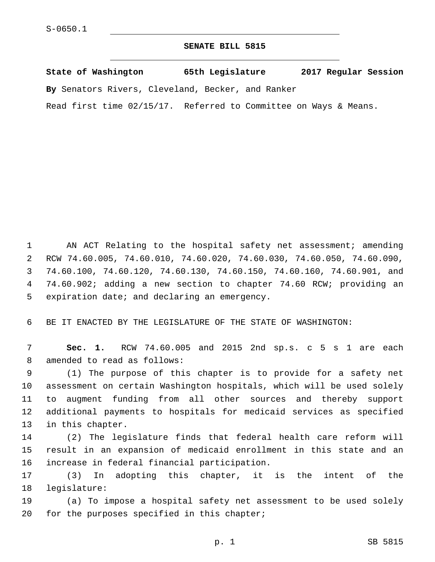## **SENATE BILL 5815**

**State of Washington 65th Legislature 2017 Regular Session**

**By** Senators Rivers, Cleveland, Becker, and Ranker

Read first time 02/15/17. Referred to Committee on Ways & Means.

1 AN ACT Relating to the hospital safety net assessment; amending 2 RCW 74.60.005, 74.60.010, 74.60.020, 74.60.030, 74.60.050, 74.60.090, 3 74.60.100, 74.60.120, 74.60.130, 74.60.150, 74.60.160, 74.60.901, and 4 74.60.902; adding a new section to chapter 74.60 RCW; providing an 5 expiration date; and declaring an emergency.

6 BE IT ENACTED BY THE LEGISLATURE OF THE STATE OF WASHINGTON:

7 **Sec. 1.** RCW 74.60.005 and 2015 2nd sp.s. c 5 s 1 are each 8 amended to read as follows:

 (1) The purpose of this chapter is to provide for a safety net assessment on certain Washington hospitals, which will be used solely to augment funding from all other sources and thereby support additional payments to hospitals for medicaid services as specified 13 in this chapter.

14 (2) The legislature finds that federal health care reform will 15 result in an expansion of medicaid enrollment in this state and an 16 increase in federal financial participation.

17 (3) In adopting this chapter, it is the intent of the 18 legislature:

19 (a) To impose a hospital safety net assessment to be used solely 20 for the purposes specified in this chapter;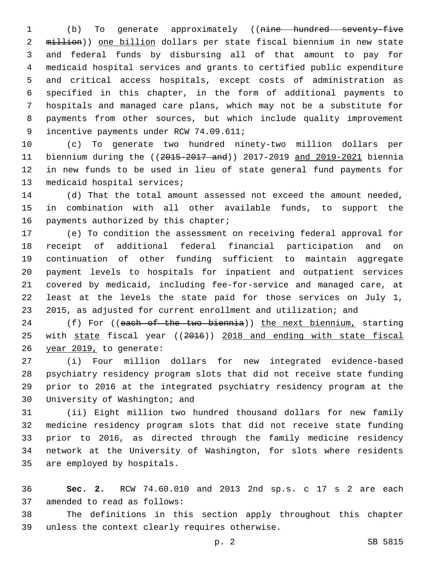(b) To generate approximately ((nine hundred seventy-five 2 million)) one billion dollars per state fiscal biennium in new state and federal funds by disbursing all of that amount to pay for medicaid hospital services and grants to certified public expenditure and critical access hospitals, except costs of administration as specified in this chapter, in the form of additional payments to hospitals and managed care plans, which may not be a substitute for payments from other sources, but which include quality improvement 9 incentive payments under RCW 74.09.611;

 (c) To generate two hundred ninety-two million dollars per biennium during the ((2015-2017 and)) 2017-2019 and 2019-2021 biennia in new funds to be used in lieu of state general fund payments for 13 medicaid hospital services;

 (d) That the total amount assessed not exceed the amount needed, in combination with all other available funds, to support the 16 payments authorized by this chapter;

 (e) To condition the assessment on receiving federal approval for receipt of additional federal financial participation and on continuation of other funding sufficient to maintain aggregate payment levels to hospitals for inpatient and outpatient services covered by medicaid, including fee-for-service and managed care, at least at the levels the state paid for those services on July 1, 2015, as adjusted for current enrollment and utilization; and

24 (f) For ((each of the two biennia)) the next biennium, starting 25 with state fiscal year ((2016)) 2018 and ending with state fiscal 26 year 2019, to generate:

 (i) Four million dollars for new integrated evidence-based psychiatry residency program slots that did not receive state funding prior to 2016 at the integrated psychiatry residency program at the 30 University of Washington; and

 (ii) Eight million two hundred thousand dollars for new family medicine residency program slots that did not receive state funding prior to 2016, as directed through the family medicine residency network at the University of Washington, for slots where residents 35 are employed by hospitals.

 **Sec. 2.** RCW 74.60.010 and 2013 2nd sp.s. c 17 s 2 are each 37 amended to read as follows:

 The definitions in this section apply throughout this chapter 39 unless the context clearly requires otherwise.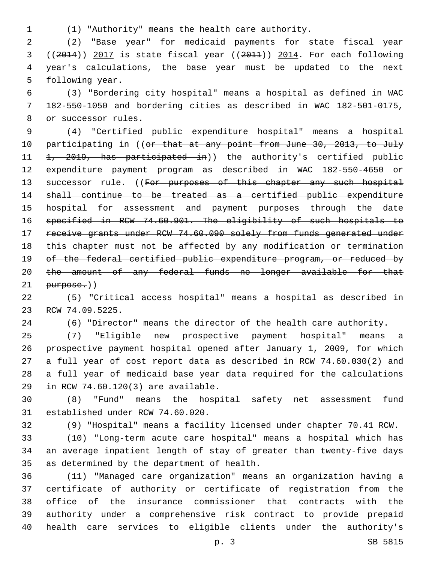(1) "Authority" means the health care authority.

 (2) "Base year" for medicaid payments for state fiscal year ((2014)) 2017 is state fiscal year ((2011)) 2014. For each following year's calculations, the base year must be updated to the next 5 following year.

 (3) "Bordering city hospital" means a hospital as defined in WAC 182-550-1050 and bordering cities as described in WAC 182-501-0175, 8 or successor rules.

 (4) "Certified public expenditure hospital" means a hospital 10 participating in ((or that at any point from June 30, 2013, to July 11 <del>1, 2019, has participated in</del>)) the authority's certified public expenditure payment program as described in WAC 182-550-4650 or 13 successor rule. ((For purposes of this chapter any such hospital shall continue to be treated as a certified public expenditure 15 hospital for assessment and payment purposes through the date specified in RCW 74.60.901. The eligibility of such hospitals to receive grants under RCW 74.60.090 solely from funds generated under 18 this chapter must not be affected by any modification or termination 19 of the federal certified public expenditure program, or reduced by 20 the amount of any federal funds no longer available for that purpose.))

 (5) "Critical access hospital" means a hospital as described in 23 RCW 74.09.5225.

(6) "Director" means the director of the health care authority.

 (7) "Eligible new prospective payment hospital" means a prospective payment hospital opened after January 1, 2009, for which a full year of cost report data as described in RCW 74.60.030(2) and a full year of medicaid base year data required for the calculations 29 in RCW 74.60.120(3) are available.

 (8) "Fund" means the hospital safety net assessment fund 31 established under RCW 74.60.020.

(9) "Hospital" means a facility licensed under chapter 70.41 RCW.

 (10) "Long-term acute care hospital" means a hospital which has an average inpatient length of stay of greater than twenty-five days 35 as determined by the department of health.

 (11) "Managed care organization" means an organization having a certificate of authority or certificate of registration from the office of the insurance commissioner that contracts with the authority under a comprehensive risk contract to provide prepaid health care services to eligible clients under the authority's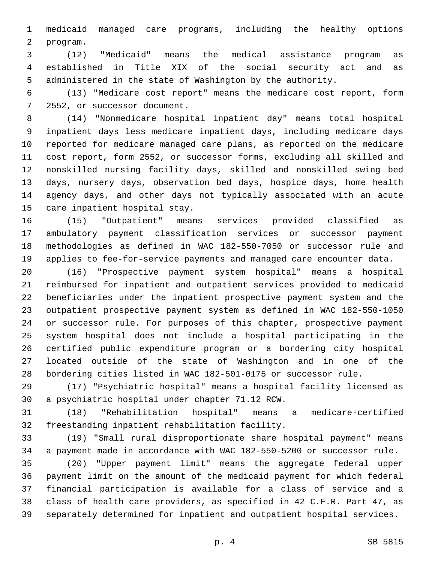medicaid managed care programs, including the healthy options 2 program.

 (12) "Medicaid" means the medical assistance program as established in Title XIX of the social security act and as administered in the state of Washington by the authority.

 (13) "Medicare cost report" means the medicare cost report, form 7 2552, or successor document.

 (14) "Nonmedicare hospital inpatient day" means total hospital inpatient days less medicare inpatient days, including medicare days reported for medicare managed care plans, as reported on the medicare cost report, form 2552, or successor forms, excluding all skilled and nonskilled nursing facility days, skilled and nonskilled swing bed days, nursery days, observation bed days, hospice days, home health agency days, and other days not typically associated with an acute 15 care inpatient hospital stay.

 (15) "Outpatient" means services provided classified as ambulatory payment classification services or successor payment methodologies as defined in WAC 182-550-7050 or successor rule and applies to fee-for-service payments and managed care encounter data.

 (16) "Prospective payment system hospital" means a hospital reimbursed for inpatient and outpatient services provided to medicaid beneficiaries under the inpatient prospective payment system and the outpatient prospective payment system as defined in WAC 182-550-1050 or successor rule. For purposes of this chapter, prospective payment system hospital does not include a hospital participating in the certified public expenditure program or a bordering city hospital located outside of the state of Washington and in one of the bordering cities listed in WAC 182-501-0175 or successor rule.

 (17) "Psychiatric hospital" means a hospital facility licensed as 30 a psychiatric hospital under chapter 71.12 RCW.

 (18) "Rehabilitation hospital" means a medicare-certified 32 freestanding inpatient rehabilitation facility.

 (19) "Small rural disproportionate share hospital payment" means a payment made in accordance with WAC 182-550-5200 or successor rule.

 (20) "Upper payment limit" means the aggregate federal upper payment limit on the amount of the medicaid payment for which federal financial participation is available for a class of service and a class of health care providers, as specified in 42 C.F.R. Part 47, as separately determined for inpatient and outpatient hospital services.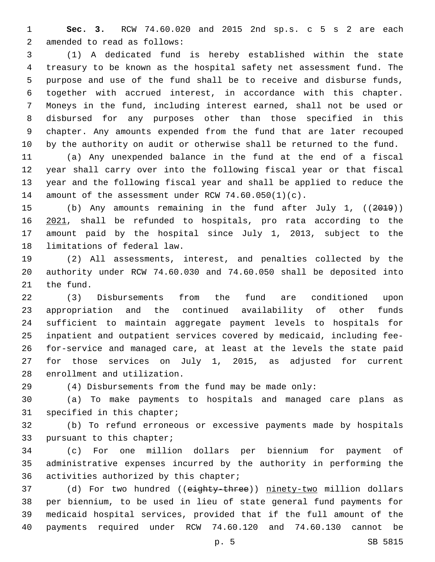**Sec. 3.** RCW 74.60.020 and 2015 2nd sp.s. c 5 s 2 are each 2 amended to read as follows:

 (1) A dedicated fund is hereby established within the state treasury to be known as the hospital safety net assessment fund. The purpose and use of the fund shall be to receive and disburse funds, together with accrued interest, in accordance with this chapter. Moneys in the fund, including interest earned, shall not be used or disbursed for any purposes other than those specified in this chapter. Any amounts expended from the fund that are later recouped by the authority on audit or otherwise shall be returned to the fund.

 (a) Any unexpended balance in the fund at the end of a fiscal year shall carry over into the following fiscal year or that fiscal year and the following fiscal year and shall be applied to reduce the 14 amount of the assessment under RCW 74.60.050(1)(c).

 (b) Any amounts remaining in the fund after July 1, ((2019)) 2021, shall be refunded to hospitals, pro rata according to the amount paid by the hospital since July 1, 2013, subject to the 18 limitations of federal law.

 (2) All assessments, interest, and penalties collected by the authority under RCW 74.60.030 and 74.60.050 shall be deposited into 21 the fund.

 (3) Disbursements from the fund are conditioned upon appropriation and the continued availability of other funds sufficient to maintain aggregate payment levels to hospitals for inpatient and outpatient services covered by medicaid, including fee- for-service and managed care, at least at the levels the state paid for those services on July 1, 2015, as adjusted for current 28 enrollment and utilization.

(4) Disbursements from the fund may be made only:

 (a) To make payments to hospitals and managed care plans as 31 specified in this chapter;

 (b) To refund erroneous or excessive payments made by hospitals 33 pursuant to this chapter;

 (c) For one million dollars per biennium for payment of administrative expenses incurred by the authority in performing the 36 activities authorized by this chapter;

37 (d) For two hundred ((eighty-three)) ninety-two million dollars per biennium, to be used in lieu of state general fund payments for medicaid hospital services, provided that if the full amount of the payments required under RCW 74.60.120 and 74.60.130 cannot be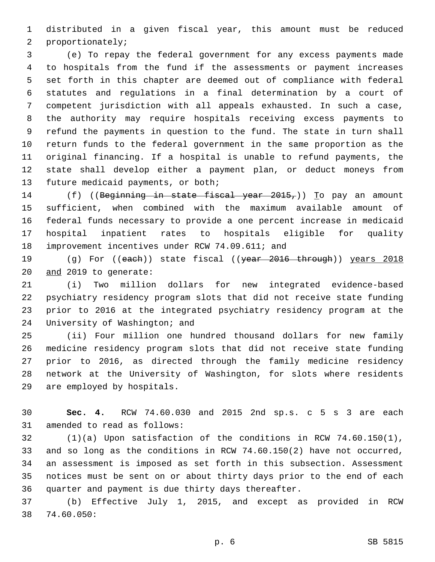distributed in a given fiscal year, this amount must be reduced 2 proportionately;

 (e) To repay the federal government for any excess payments made to hospitals from the fund if the assessments or payment increases set forth in this chapter are deemed out of compliance with federal statutes and regulations in a final determination by a court of competent jurisdiction with all appeals exhausted. In such a case, the authority may require hospitals receiving excess payments to refund the payments in question to the fund. The state in turn shall return funds to the federal government in the same proportion as the original financing. If a hospital is unable to refund payments, the state shall develop either a payment plan, or deduct moneys from 13 future medicaid payments, or both;

14 (f) ((Beginning in state fiscal year 2015,)) To pay an amount sufficient, when combined with the maximum available amount of federal funds necessary to provide a one percent increase in medicaid hospital inpatient rates to hospitals eligible for quality 18 improvement incentives under RCW 74.09.611; and

19 (g) For ((each)) state fiscal ((year 2016 through)) years 2018 20 and 2019 to generate:

 (i) Two million dollars for new integrated evidence-based psychiatry residency program slots that did not receive state funding prior to 2016 at the integrated psychiatry residency program at the 24 University of Washington; and

 (ii) Four million one hundred thousand dollars for new family medicine residency program slots that did not receive state funding prior to 2016, as directed through the family medicine residency network at the University of Washington, for slots where residents 29 are employed by hospitals.

 **Sec. 4.** RCW 74.60.030 and 2015 2nd sp.s. c 5 s 3 are each 31 amended to read as follows:

 (1)(a) Upon satisfaction of the conditions in RCW 74.60.150(1), and so long as the conditions in RCW 74.60.150(2) have not occurred, an assessment is imposed as set forth in this subsection. Assessment notices must be sent on or about thirty days prior to the end of each quarter and payment is due thirty days thereafter.

 (b) Effective July 1, 2015, and except as provided in RCW 74.60.050:38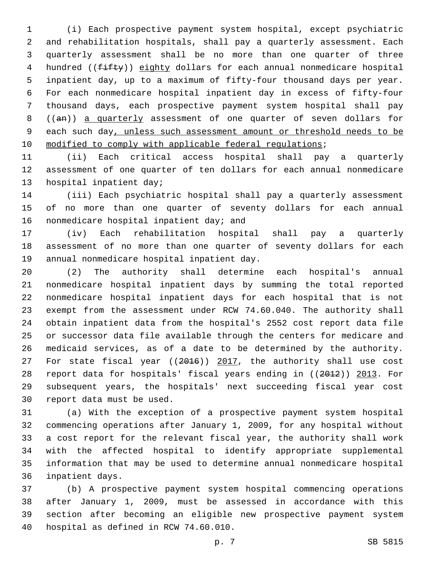(i) Each prospective payment system hospital, except psychiatric and rehabilitation hospitals, shall pay a quarterly assessment. Each quarterly assessment shall be no more than one quarter of three 4 hundred ((fifty)) eighty dollars for each annual nonmedicare hospital inpatient day, up to a maximum of fifty-four thousand days per year. For each nonmedicare hospital inpatient day in excess of fifty-four thousand days, each prospective payment system hospital shall pay ((an)) a quarterly assessment of one quarter of seven dollars for each such day, unless such assessment amount or threshold needs to be 10 modified to comply with applicable federal regulations;

 (ii) Each critical access hospital shall pay a quarterly assessment of one quarter of ten dollars for each annual nonmedicare 13 hospital inpatient day;

 (iii) Each psychiatric hospital shall pay a quarterly assessment of no more than one quarter of seventy dollars for each annual 16 nonmedicare hospital inpatient day; and

 (iv) Each rehabilitation hospital shall pay a quarterly assessment of no more than one quarter of seventy dollars for each 19 annual nonmedicare hospital inpatient day.

 (2) The authority shall determine each hospital's annual nonmedicare hospital inpatient days by summing the total reported nonmedicare hospital inpatient days for each hospital that is not exempt from the assessment under RCW 74.60.040. The authority shall obtain inpatient data from the hospital's 2552 cost report data file or successor data file available through the centers for medicare and medicaid services, as of a date to be determined by the authority. 27 For state fiscal year ((2016)) 2017, the authority shall use cost report data for hospitals' fiscal years ending in ((2012)) 2013. For subsequent years, the hospitals' next succeeding fiscal year cost 30 report data must be used.

 (a) With the exception of a prospective payment system hospital commencing operations after January 1, 2009, for any hospital without a cost report for the relevant fiscal year, the authority shall work with the affected hospital to identify appropriate supplemental information that may be used to determine annual nonmedicare hospital 36 inpatient days.

 (b) A prospective payment system hospital commencing operations after January 1, 2009, must be assessed in accordance with this section after becoming an eligible new prospective payment system 40 hospital as defined in RCW 74.60.010.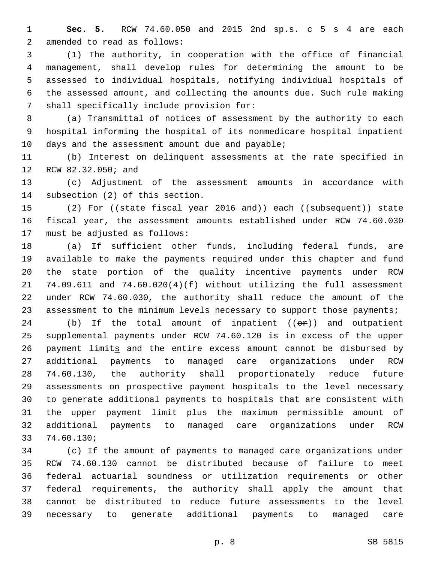**Sec. 5.** RCW 74.60.050 and 2015 2nd sp.s. c 5 s 4 are each 2 amended to read as follows:

 (1) The authority, in cooperation with the office of financial management, shall develop rules for determining the amount to be assessed to individual hospitals, notifying individual hospitals of the assessed amount, and collecting the amounts due. Such rule making 7 shall specifically include provision for:

 (a) Transmittal of notices of assessment by the authority to each hospital informing the hospital of its nonmedicare hospital inpatient 10 days and the assessment amount due and payable;

 (b) Interest on delinquent assessments at the rate specified in 12 RCW 82.32.050; and

 (c) Adjustment of the assessment amounts in accordance with 14 subsection (2) of this section.

15 (2) For ((state fiscal year 2016 and)) each ((subsequent)) state fiscal year, the assessment amounts established under RCW 74.60.030 17 must be adjusted as follows:

 (a) If sufficient other funds, including federal funds, are available to make the payments required under this chapter and fund the state portion of the quality incentive payments under RCW 74.09.611 and 74.60.020(4)(f) without utilizing the full assessment under RCW 74.60.030, the authority shall reduce the amount of the 23 assessment to the minimum levels necessary to support those payments;

24 (b) If the total amount of inpatient  $((\Theta \oplus f))$  and outpatient supplemental payments under RCW 74.60.120 is in excess of the upper 26 payment limits and the entire excess amount cannot be disbursed by additional payments to managed care organizations under RCW 74.60.130, the authority shall proportionately reduce future assessments on prospective payment hospitals to the level necessary to generate additional payments to hospitals that are consistent with the upper payment limit plus the maximum permissible amount of additional payments to managed care organizations under RCW 33 74.60.130;

 (c) If the amount of payments to managed care organizations under RCW 74.60.130 cannot be distributed because of failure to meet federal actuarial soundness or utilization requirements or other federal requirements, the authority shall apply the amount that cannot be distributed to reduce future assessments to the level necessary to generate additional payments to managed care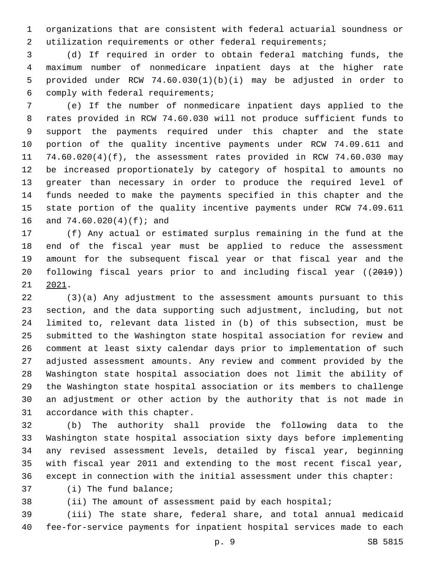organizations that are consistent with federal actuarial soundness or utilization requirements or other federal requirements;

 (d) If required in order to obtain federal matching funds, the maximum number of nonmedicare inpatient days at the higher rate provided under RCW 74.60.030(1)(b)(i) may be adjusted in order to comply with federal requirements;6

 (e) If the number of nonmedicare inpatient days applied to the rates provided in RCW 74.60.030 will not produce sufficient funds to support the payments required under this chapter and the state portion of the quality incentive payments under RCW 74.09.611 and 74.60.020(4)(f), the assessment rates provided in RCW 74.60.030 may be increased proportionately by category of hospital to amounts no greater than necessary in order to produce the required level of funds needed to make the payments specified in this chapter and the state portion of the quality incentive payments under RCW 74.09.611 16 and 74.60.020(4)(f); and

 (f) Any actual or estimated surplus remaining in the fund at the end of the fiscal year must be applied to reduce the assessment amount for the subsequent fiscal year or that fiscal year and the following fiscal years prior to and including fiscal year ((2019))  $21 \quad 2021$ .

 (3)(a) Any adjustment to the assessment amounts pursuant to this section, and the data supporting such adjustment, including, but not limited to, relevant data listed in (b) of this subsection, must be submitted to the Washington state hospital association for review and comment at least sixty calendar days prior to implementation of such adjusted assessment amounts. Any review and comment provided by the Washington state hospital association does not limit the ability of the Washington state hospital association or its members to challenge an adjustment or other action by the authority that is not made in 31 accordance with this chapter.

 (b) The authority shall provide the following data to the Washington state hospital association sixty days before implementing any revised assessment levels, detailed by fiscal year, beginning with fiscal year 2011 and extending to the most recent fiscal year, except in connection with the initial assessment under this chapter:

37 (i) The fund balance;

(ii) The amount of assessment paid by each hospital;

 (iii) The state share, federal share, and total annual medicaid fee-for-service payments for inpatient hospital services made to each

p. 9 SB 5815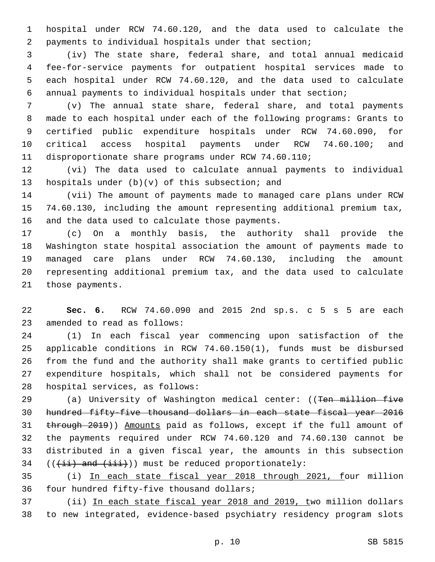hospital under RCW 74.60.120, and the data used to calculate the payments to individual hospitals under that section;

 (iv) The state share, federal share, and total annual medicaid fee-for-service payments for outpatient hospital services made to each hospital under RCW 74.60.120, and the data used to calculate annual payments to individual hospitals under that section;

 (v) The annual state share, federal share, and total payments made to each hospital under each of the following programs: Grants to certified public expenditure hospitals under RCW 74.60.090, for critical access hospital payments under RCW 74.60.100; and disproportionate share programs under RCW 74.60.110;

 (vi) The data used to calculate annual payments to individual hospitals under  $(b)(v)$  of this subsection; and

 (vii) The amount of payments made to managed care plans under RCW 74.60.130, including the amount representing additional premium tax, 16 and the data used to calculate those payments.

 (c) On a monthly basis, the authority shall provide the Washington state hospital association the amount of payments made to managed care plans under RCW 74.60.130, including the amount representing additional premium tax, and the data used to calculate 21 those payments.

 **Sec. 6.** RCW 74.60.090 and 2015 2nd sp.s. c 5 s 5 are each 23 amended to read as follows:

 (1) In each fiscal year commencing upon satisfaction of the applicable conditions in RCW 74.60.150(1), funds must be disbursed from the fund and the authority shall make grants to certified public expenditure hospitals, which shall not be considered payments for 28 hospital services, as follows:

29 (a) University of Washington medical center: ((Ten million five hundred fifty-five thousand dollars in each state fiscal year 2016 through 2019)) Amounts paid as follows, except if the full amount of the payments required under RCW 74.60.120 and 74.60.130 cannot be distributed in a given fiscal year, the amounts in this subsection  $((\overrightarrow{ii})$  and  $(\overrightarrow{iii})$ ) must be reduced proportionately:

 (i) In each state fiscal year 2018 through 2021, four million 36 four hundred fifty-five thousand dollars;

 (ii) In each state fiscal year 2018 and 2019, two million dollars to new integrated, evidence-based psychiatry residency program slots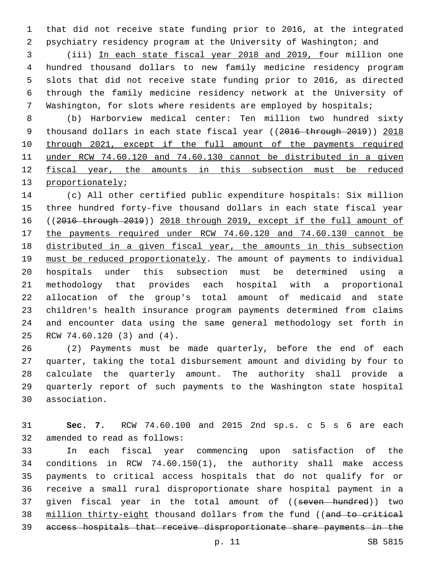that did not receive state funding prior to 2016, at the integrated psychiatry residency program at the University of Washington; and

 (iii) In each state fiscal year 2018 and 2019, four million one hundred thousand dollars to new family medicine residency program slots that did not receive state funding prior to 2016, as directed through the family medicine residency network at the University of Washington, for slots where residents are employed by hospitals;

 (b) Harborview medical center: Ten million two hundred sixty 9 thousand dollars in each state fiscal year ((2016 through 2019)) 2018 through 2021, except if the full amount of the payments required under RCW 74.60.120 and 74.60.130 cannot be distributed in a given 12 fiscal year, the amounts in this subsection must be reduced 13 proportionately;

 (c) All other certified public expenditure hospitals: Six million three hundred forty-five thousand dollars in each state fiscal year ((2016 through 2019)) 2018 through 2019, except if the full amount of the payments required under RCW 74.60.120 and 74.60.130 cannot be distributed in a given fiscal year, the amounts in this subsection 19 must be reduced proportionately. The amount of payments to individual hospitals under this subsection must be determined using a methodology that provides each hospital with a proportional allocation of the group's total amount of medicaid and state children's health insurance program payments determined from claims and encounter data using the same general methodology set forth in 25 RCW 74.60.120 (3) and (4).

 (2) Payments must be made quarterly, before the end of each quarter, taking the total disbursement amount and dividing by four to calculate the quarterly amount. The authority shall provide a quarterly report of such payments to the Washington state hospital association.30

 **Sec. 7.** RCW 74.60.100 and 2015 2nd sp.s. c 5 s 6 are each 32 amended to read as follows:

 In each fiscal year commencing upon satisfaction of the conditions in RCW 74.60.150(1), the authority shall make access payments to critical access hospitals that do not qualify for or receive a small rural disproportionate share hospital payment in a 37 given fiscal year in the total amount of ((seven hundred)) two 38 million thirty-eight thousand dollars from the fund ((and to critical access hospitals that receive disproportionate share payments in the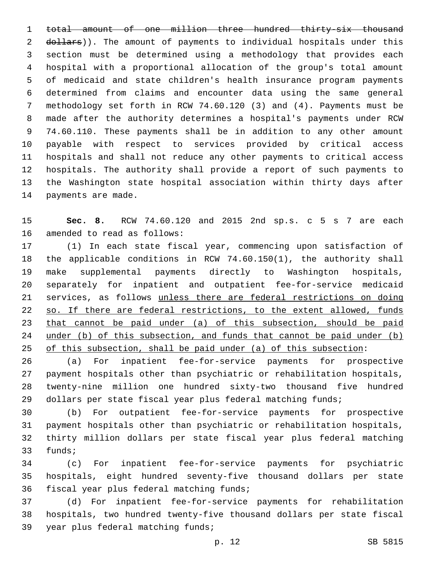total amount of one million three hundred thirty-six thousand 2 dollars)). The amount of payments to individual hospitals under this section must be determined using a methodology that provides each hospital with a proportional allocation of the group's total amount of medicaid and state children's health insurance program payments determined from claims and encounter data using the same general methodology set forth in RCW 74.60.120 (3) and (4). Payments must be made after the authority determines a hospital's payments under RCW 74.60.110. These payments shall be in addition to any other amount payable with respect to services provided by critical access hospitals and shall not reduce any other payments to critical access hospitals. The authority shall provide a report of such payments to the Washington state hospital association within thirty days after 14 payments are made.

 **Sec. 8.** RCW 74.60.120 and 2015 2nd sp.s. c 5 s 7 are each 16 amended to read as follows:

 (1) In each state fiscal year, commencing upon satisfaction of the applicable conditions in RCW 74.60.150(1), the authority shall make supplemental payments directly to Washington hospitals, separately for inpatient and outpatient fee-for-service medicaid services, as follows unless there are federal restrictions on doing 22 so. If there are federal restrictions, to the extent allowed, funds that cannot be paid under (a) of this subsection, should be paid under (b) of this subsection, and funds that cannot be paid under (b) of this subsection, shall be paid under (a) of this subsection:

 (a) For inpatient fee-for-service payments for prospective payment hospitals other than psychiatric or rehabilitation hospitals, twenty-nine million one hundred sixty-two thousand five hundred dollars per state fiscal year plus federal matching funds;

 (b) For outpatient fee-for-service payments for prospective payment hospitals other than psychiatric or rehabilitation hospitals, thirty million dollars per state fiscal year plus federal matching 33 funds;

 (c) For inpatient fee-for-service payments for psychiatric hospitals, eight hundred seventy-five thousand dollars per state 36 fiscal year plus federal matching funds;

 (d) For inpatient fee-for-service payments for rehabilitation hospitals, two hundred twenty-five thousand dollars per state fiscal 39 year plus federal matching funds;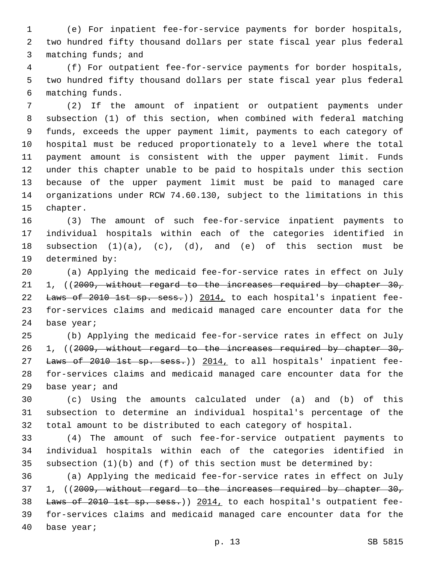(e) For inpatient fee-for-service payments for border hospitals, two hundred fifty thousand dollars per state fiscal year plus federal 3 matching funds; and

 (f) For outpatient fee-for-service payments for border hospitals, two hundred fifty thousand dollars per state fiscal year plus federal matching funds.6

 (2) If the amount of inpatient or outpatient payments under subsection (1) of this section, when combined with federal matching funds, exceeds the upper payment limit, payments to each category of hospital must be reduced proportionately to a level where the total payment amount is consistent with the upper payment limit. Funds under this chapter unable to be paid to hospitals under this section because of the upper payment limit must be paid to managed care organizations under RCW 74.60.130, subject to the limitations in this 15 chapter.

 (3) The amount of such fee-for-service inpatient payments to individual hospitals within each of the categories identified in subsection (1)(a), (c), (d), and (e) of this section must be 19 determined by:

 (a) Applying the medicaid fee-for-service rates in effect on July 21 1, ((2009, without regard to the increases required by chapter 30, 22 Laws of 2010 1st sp. sess.)) 2014, to each hospital's inpatient fee- for-services claims and medicaid managed care encounter data for the 24 base year;

 (b) Applying the medicaid fee-for-service rates in effect on July 26 1, ((2009, without regard to the increases required by chapter 30, 27 Laws of 2010 1st sp. sess.)) 2014, to all hospitals' inpatient fee- for-services claims and medicaid managed care encounter data for the 29 base year; and

 (c) Using the amounts calculated under (a) and (b) of this subsection to determine an individual hospital's percentage of the total amount to be distributed to each category of hospital.

 (4) The amount of such fee-for-service outpatient payments to individual hospitals within each of the categories identified in 35 subsection  $(1)(b)$  and  $(f)$  of this section must be determined by:

 (a) Applying the medicaid fee-for-service rates in effect on July 37 1, ((2009, without regard to the increases required by chapter 30, 38 Laws of 2010 1st sp. sess.)) 2014, to each hospital's outpatient fee- for-services claims and medicaid managed care encounter data for the 40 base year;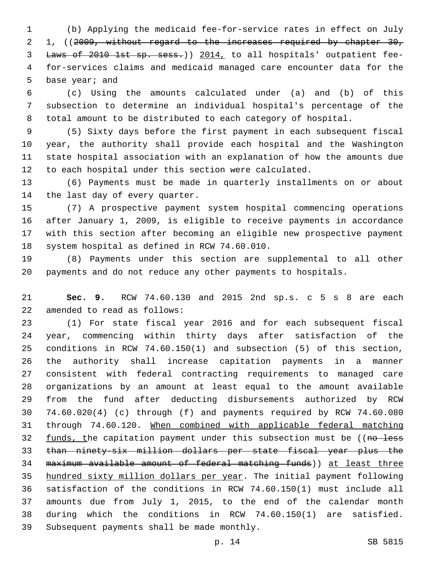(b) Applying the medicaid fee-for-service rates in effect on July 2 1, ((2009, without regard to the increases required by chapter 30, Laws of 2010 1st sp. sess.)) 2014, to all hospitals' outpatient fee- for-services claims and medicaid managed care encounter data for the 5 base year; and

 (c) Using the amounts calculated under (a) and (b) of this subsection to determine an individual hospital's percentage of the total amount to be distributed to each category of hospital.

 (5) Sixty days before the first payment in each subsequent fiscal year, the authority shall provide each hospital and the Washington state hospital association with an explanation of how the amounts due to each hospital under this section were calculated.

 (6) Payments must be made in quarterly installments on or about 14 the last day of every quarter.

 (7) A prospective payment system hospital commencing operations after January 1, 2009, is eligible to receive payments in accordance with this section after becoming an eligible new prospective payment 18 system hospital as defined in RCW 74.60.010.

 (8) Payments under this section are supplemental to all other payments and do not reduce any other payments to hospitals.

 **Sec. 9.** RCW 74.60.130 and 2015 2nd sp.s. c 5 s 8 are each 22 amended to read as follows:

 (1) For state fiscal year 2016 and for each subsequent fiscal year, commencing within thirty days after satisfaction of the conditions in RCW 74.60.150(1) and subsection (5) of this section, the authority shall increase capitation payments in a manner consistent with federal contracting requirements to managed care organizations by an amount at least equal to the amount available from the fund after deducting disbursements authorized by RCW 74.60.020(4) (c) through (f) and payments required by RCW 74.60.080 through 74.60.120. When combined with applicable federal matching 32 funds, the capitation payment under this subsection must be ((no less than ninety-six million dollars per state fiscal year plus the maximum available amount of federal matching funds)) at least three hundred sixty million dollars per year. The initial payment following satisfaction of the conditions in RCW 74.60.150(1) must include all amounts due from July 1, 2015, to the end of the calendar month during which the conditions in RCW 74.60.150(1) are satisfied. 39 Subsequent payments shall be made monthly.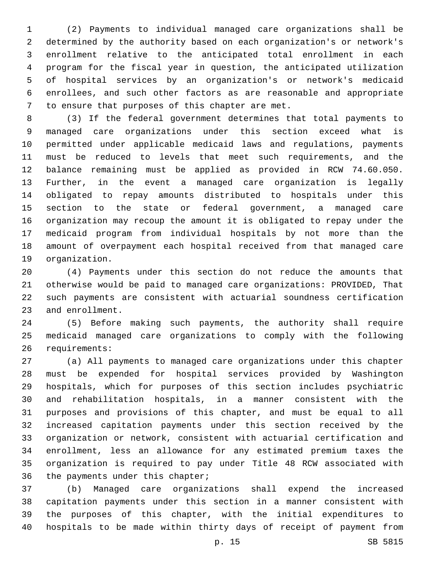(2) Payments to individual managed care organizations shall be determined by the authority based on each organization's or network's enrollment relative to the anticipated total enrollment in each program for the fiscal year in question, the anticipated utilization of hospital services by an organization's or network's medicaid enrollees, and such other factors as are reasonable and appropriate 7 to ensure that purposes of this chapter are met.

 (3) If the federal government determines that total payments to managed care organizations under this section exceed what is permitted under applicable medicaid laws and regulations, payments must be reduced to levels that meet such requirements, and the balance remaining must be applied as provided in RCW 74.60.050. Further, in the event a managed care organization is legally obligated to repay amounts distributed to hospitals under this section to the state or federal government, a managed care organization may recoup the amount it is obligated to repay under the medicaid program from individual hospitals by not more than the amount of overpayment each hospital received from that managed care 19 organization.

 (4) Payments under this section do not reduce the amounts that otherwise would be paid to managed care organizations: PROVIDED, That such payments are consistent with actuarial soundness certification 23 and enrollment.

 (5) Before making such payments, the authority shall require medicaid managed care organizations to comply with the following 26 requirements:

 (a) All payments to managed care organizations under this chapter must be expended for hospital services provided by Washington hospitals, which for purposes of this section includes psychiatric and rehabilitation hospitals, in a manner consistent with the purposes and provisions of this chapter, and must be equal to all increased capitation payments under this section received by the organization or network, consistent with actuarial certification and enrollment, less an allowance for any estimated premium taxes the organization is required to pay under Title 48 RCW associated with 36 the payments under this chapter;

 (b) Managed care organizations shall expend the increased capitation payments under this section in a manner consistent with the purposes of this chapter, with the initial expenditures to hospitals to be made within thirty days of receipt of payment from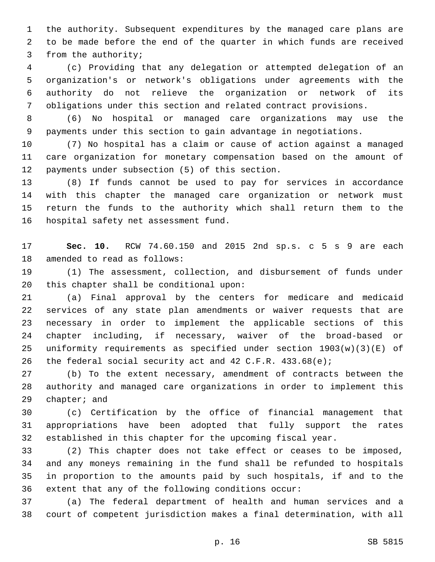the authority. Subsequent expenditures by the managed care plans are to be made before the end of the quarter in which funds are received 3 from the authority;

 (c) Providing that any delegation or attempted delegation of an organization's or network's obligations under agreements with the authority do not relieve the organization or network of its obligations under this section and related contract provisions.

 (6) No hospital or managed care organizations may use the payments under this section to gain advantage in negotiations.

 (7) No hospital has a claim or cause of action against a managed care organization for monetary compensation based on the amount of 12 payments under subsection (5) of this section.

 (8) If funds cannot be used to pay for services in accordance with this chapter the managed care organization or network must return the funds to the authority which shall return them to the 16 hospital safety net assessment fund.

 **Sec. 10.** RCW 74.60.150 and 2015 2nd sp.s. c 5 s 9 are each 18 amended to read as follows:

 (1) The assessment, collection, and disbursement of funds under this chapter shall be conditional upon:

 (a) Final approval by the centers for medicare and medicaid services of any state plan amendments or waiver requests that are necessary in order to implement the applicable sections of this chapter including, if necessary, waiver of the broad-based or uniformity requirements as specified under section 1903(w)(3)(E) of the federal social security act and 42 C.F.R. 433.68(e);

 (b) To the extent necessary, amendment of contracts between the authority and managed care organizations in order to implement this 29 chapter; and

 (c) Certification by the office of financial management that appropriations have been adopted that fully support the rates established in this chapter for the upcoming fiscal year.

 (2) This chapter does not take effect or ceases to be imposed, and any moneys remaining in the fund shall be refunded to hospitals in proportion to the amounts paid by such hospitals, if and to the extent that any of the following conditions occur:

 (a) The federal department of health and human services and a court of competent jurisdiction makes a final determination, with all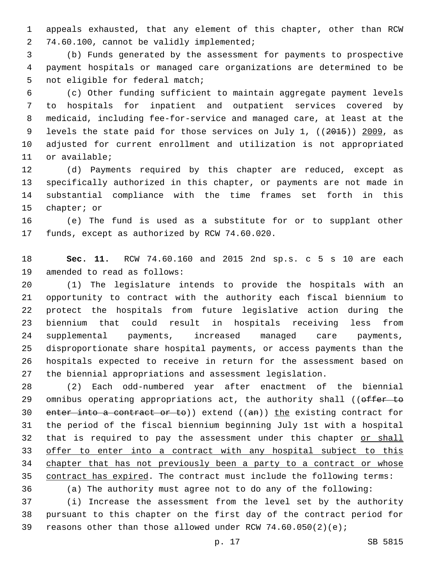appeals exhausted, that any element of this chapter, other than RCW 2 74.60.100, cannot be validly implemented;

 (b) Funds generated by the assessment for payments to prospective payment hospitals or managed care organizations are determined to be 5 not eligible for federal match;

 (c) Other funding sufficient to maintain aggregate payment levels to hospitals for inpatient and outpatient services covered by medicaid, including fee-for-service and managed care, at least at the 9 levels the state paid for those services on July 1, ((2015)) 2009, as adjusted for current enrollment and utilization is not appropriated 11 or available;

 (d) Payments required by this chapter are reduced, except as specifically authorized in this chapter, or payments are not made in substantial compliance with the time frames set forth in this 15 chapter; or

 (e) The fund is used as a substitute for or to supplant other 17 funds, except as authorized by RCW 74.60.020.

 **Sec. 11.** RCW 74.60.160 and 2015 2nd sp.s. c 5 s 10 are each 19 amended to read as follows:

 (1) The legislature intends to provide the hospitals with an opportunity to contract with the authority each fiscal biennium to protect the hospitals from future legislative action during the biennium that could result in hospitals receiving less from supplemental payments, increased managed care payments, disproportionate share hospital payments, or access payments than the hospitals expected to receive in return for the assessment based on the biennial appropriations and assessment legislation.

 (2) Each odd-numbered year after enactment of the biennial 29 omnibus operating appropriations act, the authority shall ((offer to 30 enter into a contract or to)) extend  $((an))$  the existing contract for the period of the fiscal biennium beginning July 1st with a hospital 32 that is required to pay the assessment under this chapter or shall offer to enter into a contract with any hospital subject to this 34 chapter that has not previously been a party to a contract or whose contract has expired. The contract must include the following terms:

(a) The authority must agree not to do any of the following:

 (i) Increase the assessment from the level set by the authority pursuant to this chapter on the first day of the contract period for reasons other than those allowed under RCW 74.60.050(2)(e);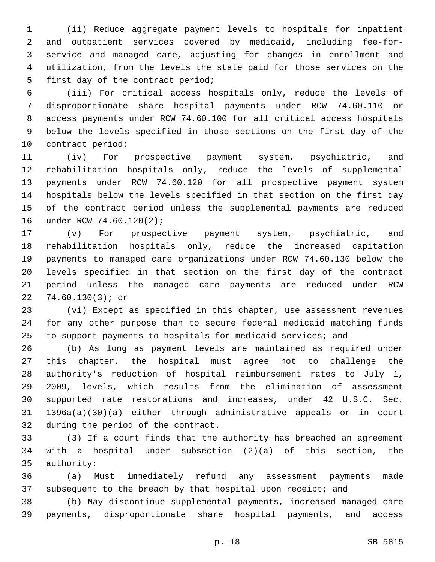(ii) Reduce aggregate payment levels to hospitals for inpatient and outpatient services covered by medicaid, including fee-for- service and managed care, adjusting for changes in enrollment and utilization, from the levels the state paid for those services on the 5 first day of the contract period;

 (iii) For critical access hospitals only, reduce the levels of disproportionate share hospital payments under RCW 74.60.110 or access payments under RCW 74.60.100 for all critical access hospitals below the levels specified in those sections on the first day of the 10 contract period;

 (iv) For prospective payment system, psychiatric, and rehabilitation hospitals only, reduce the levels of supplemental payments under RCW 74.60.120 for all prospective payment system hospitals below the levels specified in that section on the first day of the contract period unless the supplemental payments are reduced 16 under RCW 74.60.120(2);

 (v) For prospective payment system, psychiatric, and rehabilitation hospitals only, reduce the increased capitation payments to managed care organizations under RCW 74.60.130 below the levels specified in that section on the first day of the contract period unless the managed care payments are reduced under RCW 22 74.60.130(3); or

 (vi) Except as specified in this chapter, use assessment revenues for any other purpose than to secure federal medicaid matching funds to support payments to hospitals for medicaid services; and

 (b) As long as payment levels are maintained as required under this chapter, the hospital must agree not to challenge the authority's reduction of hospital reimbursement rates to July 1, 2009, levels, which results from the elimination of assessment supported rate restorations and increases, under 42 U.S.C. Sec. 1396a(a)(30)(a) either through administrative appeals or in court 32 during the period of the contract.

 (3) If a court finds that the authority has breached an agreement with a hospital under subsection (2)(a) of this section, the 35 authority:

 (a) Must immediately refund any assessment payments made 37 subsequent to the breach by that hospital upon receipt; and

 (b) May discontinue supplemental payments, increased managed care payments, disproportionate share hospital payments, and access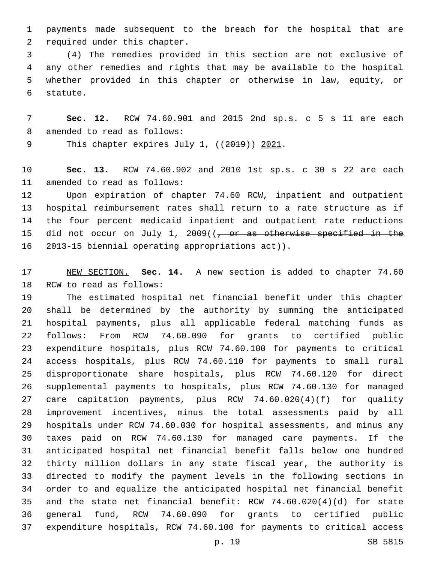payments made subsequent to the breach for the hospital that are 2 required under this chapter.

 (4) The remedies provided in this section are not exclusive of any other remedies and rights that may be available to the hospital whether provided in this chapter or otherwise in law, equity, or 6 statute.

 **Sec. 12.** RCW 74.60.901 and 2015 2nd sp.s. c 5 s 11 are each 8 amended to read as follows:

9 This chapter expires July 1, ((2019)) 2021.

 **Sec. 13.** RCW 74.60.902 and 2010 1st sp.s. c 30 s 22 are each 11 amended to read as follows:

 Upon expiration of chapter 74.60 RCW, inpatient and outpatient hospital reimbursement rates shall return to a rate structure as if the four percent medicaid inpatient and outpatient rate reductions 15 did not occur on July 1, 2009( $(-$  or as otherwise specified in the 16 2013-15 biennial operating appropriations act)).

 NEW SECTION. **Sec. 14.** A new section is added to chapter 74.60 18 RCW to read as follows:

 The estimated hospital net financial benefit under this chapter shall be determined by the authority by summing the anticipated hospital payments, plus all applicable federal matching funds as follows: From RCW 74.60.090 for grants to certified public expenditure hospitals, plus RCW 74.60.100 for payments to critical access hospitals, plus RCW 74.60.110 for payments to small rural disproportionate share hospitals, plus RCW 74.60.120 for direct supplemental payments to hospitals, plus RCW 74.60.130 for managed care capitation payments, plus RCW 74.60.020(4)(f) for quality improvement incentives, minus the total assessments paid by all hospitals under RCW 74.60.030 for hospital assessments, and minus any taxes paid on RCW 74.60.130 for managed care payments. If the anticipated hospital net financial benefit falls below one hundred thirty million dollars in any state fiscal year, the authority is directed to modify the payment levels in the following sections in order to and equalize the anticipated hospital net financial benefit and the state net financial benefit: RCW 74.60.020(4)(d) for state general fund, RCW 74.60.090 for grants to certified public expenditure hospitals, RCW 74.60.100 for payments to critical access

p. 19 SB 5815